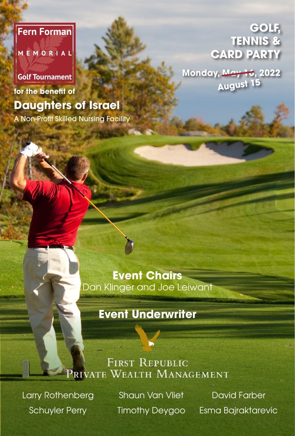### **Fern Forman**

MEMORIAL

## **Golf Tournament for the benefit of Daughters of Israel**

A Non-Profit Skilled Nursing Facility

**GOLF, TENNIS & CARD PARTY**

**Monday, May 16, 2022 August 15**

**Event Chairs** Dan Klinger and Joe Leiwant

## **Event Underwriter**

### **FIRST REPUBLIC** PRIVATE WEALTH MANAGEMENT

Larry Rothenberg Schuyler Perry

Shaun Van Vliet Timothy Deygoo

David Farber Esma Bajraktarevic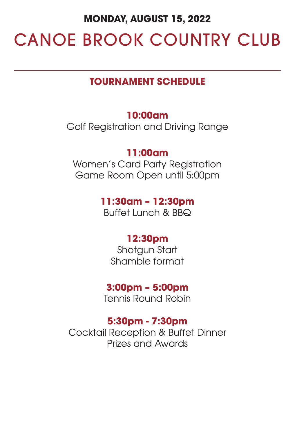#### **MONDAY, AUGUST 15, 2022**

# CANOE BROOK COUNTRY CLUB

#### **TOURNAMENT SCHEDULE**

#### **10:00am**

Golf Registration and Driving Range

#### **11:00am**

Women's Card Party Registration Game Room Open until 5:00pm

#### **11:30am – 12:30pm**

Buffet Lunch & BBQ

#### **12:30pm**

Shotgun Start Shamble format

#### **3:00pm – 5:00pm**

Tennis Round Robin

#### **5:30pm - 7:30pm**

Cocktail Reception & Buffet Dinner Prizes and Awards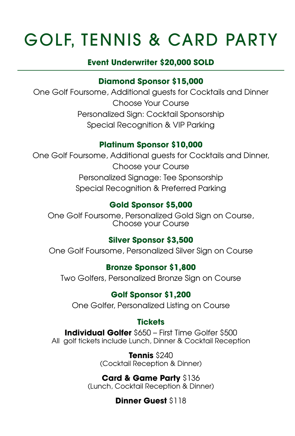# GOLF, TENNIS & CARD PARTY

#### **Event Underwriter \$20,000 SOLD**

#### **Diamond Sponsor \$15,000**

One Golf Foursome, Additional guests for Cocktails and Dinner Choose Your Course Personalized Sign: Cocktail Sponsorship Special Recognition & VIP Parking

#### **Platinum Sponsor \$10,000**

One Golf Foursome, Additional guests for Cocktails and Dinner, Choose your Course Personalized Signage: Tee Sponsorship Special Recognition & Preferred Parking

#### **Gold Sponsor \$5,000**

One Golf Foursome, Personalized Gold Sign on Course, Choose your Course

#### **Silver Sponsor \$3,500**

One Golf Foursome, Personalized Silver Sign on Course

#### **Bronze Sponsor \$1,800**

Two Golfers, Personalized Bronze Sign on Course

#### **Golf Sponsor \$1,200**

One Golfer, Personalized Listing on Course

#### **Tickets**

**Individual Golfer** \$650 – First Time Golfer \$500 All golf tickets include Lunch, Dinner & Cocktail Reception

> **Tennis** \$240 (Cocktail Reception & Dinner)

#### **Card & Game Party** \$136 (Lunch, Cocktail Reception & Dinner)

#### **Dinner Guest** \$118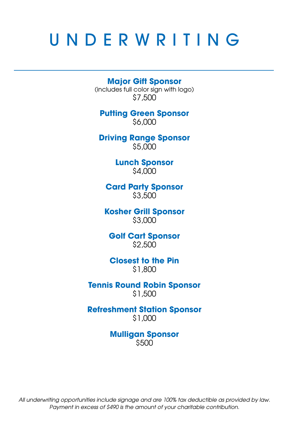## UNDERWRITING

**Major Gift Sponsor**  (includes full color sign with logo) \$7,500

**Putting Green Sponsor**  \$6,000

**Driving Range Sponsor**  \$5,000

> **Lunch Sponsor**  \$4,000

**Card Party Sponsor** \$3,500

**Kosher Grill Sponsor** \$3,000

**Golf Cart Sponsor**  \$2,500

**Closest to the Pin**  \$1,800

**Tennis Round Robin Sponsor**  \$1,500

**Refreshment Station Sponsor**  \$1,000

> **Mulligan Sponsor**  \$500

*All underwriting opportunities include signage and are 100% tax deductible as provided by law. Payment in excess of \$490 is the amount of your charitable contribution.*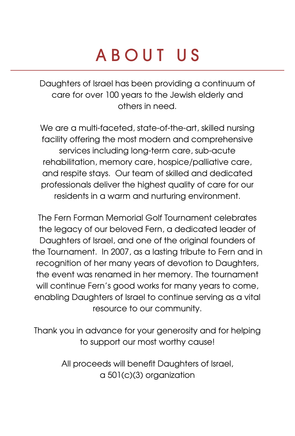# ABOUT US

Daughters of Israel has been providing a continuum of care for over 100 years to the Jewish elderly and others in need.

We are a multi-faceted, state-of-the-art, skilled nursing facility offering the most modern and comprehensive services including long-term care, sub-acute rehabilitation, memory care, hospice/palliative care, and respite stays. Our team of skilled and dedicated professionals deliver the highest quality of care for our residents in a warm and nurturing environment.

The Fern Forman Memorial Golf Tournament celebrates the legacy of our beloved Fern, a dedicated leader of Daughters of Israel, and one of the original founders of the Tournament. In 2007, as a lasting tribute to Fern and in recognition of her many years of devotion to Daughters, the event was renamed in her memory. The tournament will continue Fern's good works for many years to come, enabling Daughters of Israel to continue serving as a vital resource to our community.

Thank you in advance for your generosity and for helping to support our most worthy cause!

> All proceeds will benefit Daughters of Israel, a 501(c)(3) organization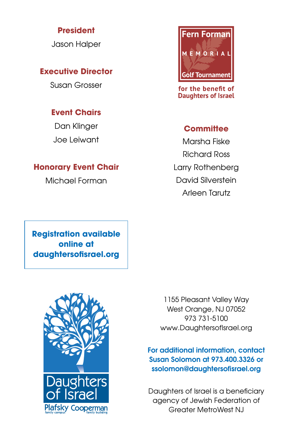#### **President**

Jason Halper

#### **Executive Director**

Susan Grosser

#### **Event Chairs**

Dan Klinger Joe Leiwant

#### **Honorary Event Chair**

Michael Forman



for the benefit of **Daughters of Israel** 

#### **Committee**

Marsha Fiske Richard Ross Larry Rothenberg David Silverstein Arleen Tarutz

**Registration available online at daughtersofisrael.org**



1155 Pleasant Valley Way West Orange, NJ 07052 973 731-5100 www.DaughtersofIsrael.org

#### For additional information, contact Susan Solomon at 973.400.3326 or ssolomon@daughtersofisrael.org

Daughters of Israel is a beneficiary agency of Jewish Federation of Greater MetroWest NJ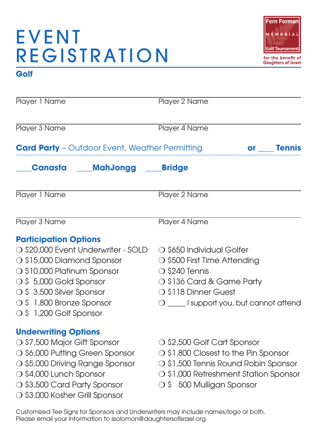## **EVENT** REGISTRATION



#### **Golf**

| Player 1 Name                                         | Player 2 Name                            |  |
|-------------------------------------------------------|------------------------------------------|--|
| Player 3 Name                                         | Player 4 Name                            |  |
| <b>Card Party</b> - Outdoor Event, Weather Permitting | <b>Tennis</b><br><b>or</b>               |  |
| Canasta<br><b>MahJongg</b>                            | <b>Bridge</b>                            |  |
| Player 1 Name                                         | Player 2 Name                            |  |
| Player 3 Name                                         | Player 4 Name                            |  |
| <b>Participation Options</b>                          |                                          |  |
| ○ \$20,000 Event Underwriter - SOLD                   | ○ \$650 Individual Golfer                |  |
| ○ \$15,000 Diamond Sponsor                            | ○ \$500 First Time Attending             |  |
| ○ \$10,000 Platinum Sponsor                           | $\bigcirc$ \$240 Tennis                  |  |
| ○ \$5,000 Gold Sponsor                                | O \$136 Card & Game Party                |  |
| ○ \$ 3,500 Silver Sponsor                             | ○ \$118 Dinner Guest                     |  |
| O \$1,800 Bronze Sponsor                              | O _____ I support you, but cannot attend |  |
| ○ \$1,200 Golf Sponsor                                |                                          |  |
| <b>Underwriting Options</b>                           |                                          |  |
| ○ \$7,500 Major Gift Sponsor                          | ○ \$2,500 Golf Cart Sponsor              |  |
| ○ \$6,000 Putting Green Sponsor                       | ○ \$1,800 Closest to the Pin Sponsor     |  |
| ○ \$5,000 Driving Range Sponsor                       | ○ \$1,500 Tennis Round Robin Sponsor     |  |
| ○ \$4,000 Lunch Sponsor                               | ○ \$1,000 Refreshment Station Sponsor    |  |
| ○ \$3,500 Card Party Sponsor                          | ○ \$500 Mulligan Sponsor                 |  |
| ○ \$3,000 Kosher Grill Sponsor                        |                                          |  |

Customized Tee Signs for Sponsors and Underwriters may include names/logo or both. Please email your information to ssolomon@daughtersofisrael.org.